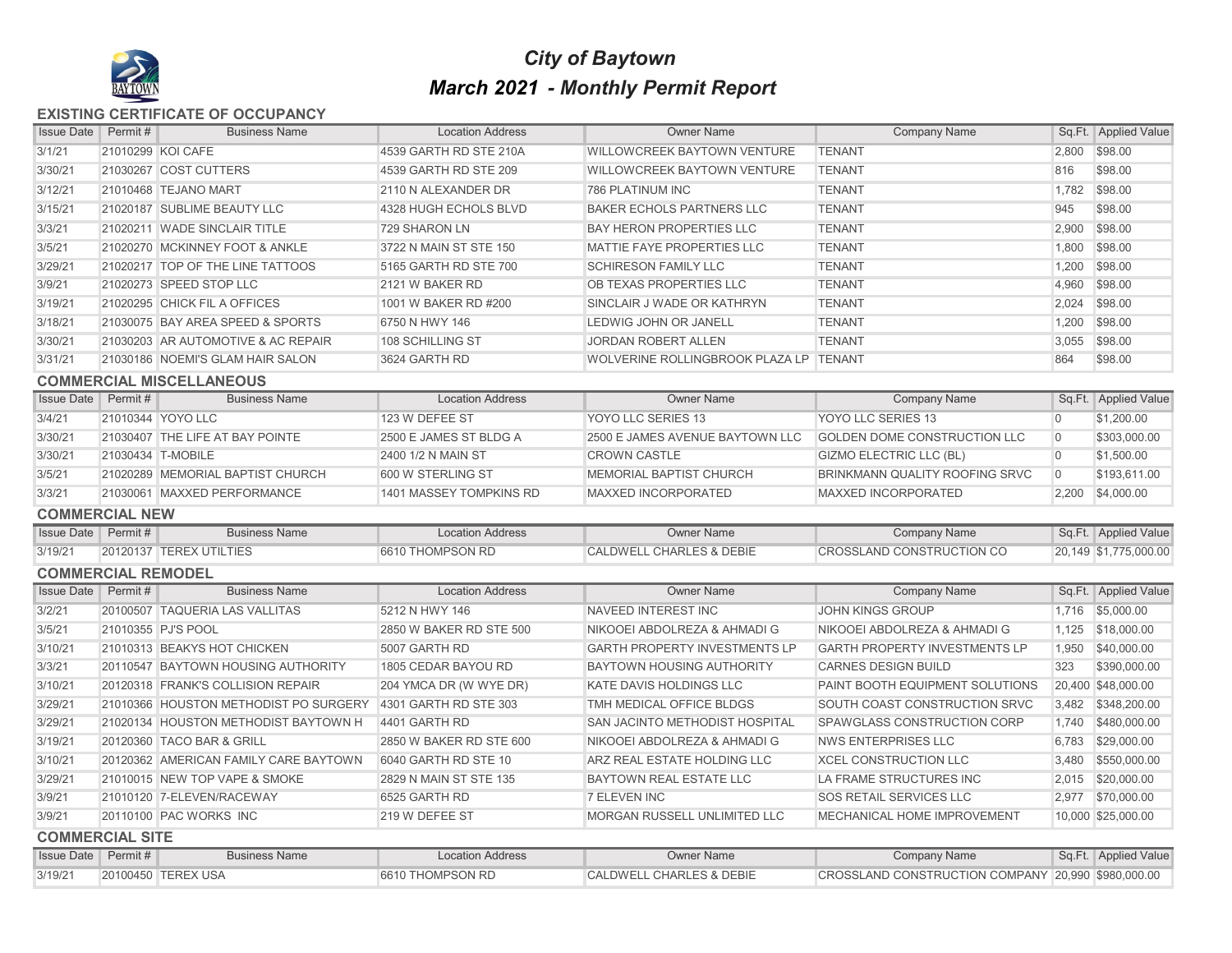

# *City of Baytown March 2021 - Monthly Permit Report*

**EXISTING CERTIFICATE OF OCCUPANCY**

| <b>Issue Date</b>          | Permit # | <b>Business Name</b>                  | <b>Location Address</b> | <b>Owner Name</b>                      | <b>Company Name</b>                                |                | Sq.Ft. Applied Value  |
|----------------------------|----------|---------------------------------------|-------------------------|----------------------------------------|----------------------------------------------------|----------------|-----------------------|
| 3/1/21                     |          | 21010299 KOI CAFE                     | 4539 GARTH RD STE 210A  | WILLOWCREEK BAYTOWN VENTURE            | <b>TENANT</b>                                      |                | 2,800 \$98.00         |
| 3/30/21                    |          | 21030267 COST CUTTERS                 | 4539 GARTH RD STE 209   | WILLOWCREEK BAYTOWN VENTURE            | <b>TENANT</b>                                      | 816            | \$98.00               |
| 3/12/21                    |          | 21010468 TEJANO MART                  | 2110 N ALEXANDER DR     | <b>786 PLATINUM INC</b>                | <b>TENANT</b>                                      | 1,782          | \$98.00               |
| 3/15/21                    |          | 21020187 SUBLIME BEAUTY LLC           | 4328 HUGH ECHOLS BLVD   | <b>BAKER ECHOLS PARTNERS LLC</b>       | <b>TENANT</b>                                      | 945            | \$98.00               |
| 3/3/21                     |          | 21020211 WADE SINCLAIR TITLE          | 729 SHARON LN           | <b>BAY HERON PROPERTIES LLC</b>        | <b>TENANT</b>                                      | 2,900          | \$98.00               |
| 3/5/21                     |          | 21020270 MCKINNEY FOOT & ANKLE        | 3722 N MAIN ST STE 150  | MATTIE FAYE PROPERTIES LLC             | <b>TENANT</b>                                      | 1,800          | \$98.00               |
| 3/29/21                    |          | 21020217 TOP OF THE LINE TATTOOS      | 5165 GARTH RD STE 700   | <b>SCHIRESON FAMILY LLC</b>            | <b>TENANT</b>                                      | 1,200          | \$98.00               |
| 3/9/21                     |          | 21020273 SPEED STOP LLC               | 2121 W BAKER RD         | OB TEXAS PROPERTIES LLC                | <b>TENANT</b>                                      | 4,960          | \$98.00               |
| 3/19/21                    |          | 21020295 CHICK FIL A OFFICES          | 1001 W BAKER RD #200    | SINCLAIR J WADE OR KATHRYN             | <b>TENANT</b>                                      | 2,024          | \$98.00               |
| 3/18/21                    |          | 21030075 BAY AREA SPEED & SPORTS      | 6750 N HWY 146          | LEDWIG JOHN OR JANELL                  | <b>TENANT</b>                                      | 1,200          | \$98.00               |
| 3/30/21                    |          | 21030203 AR AUTOMOTIVE & AC REPAIR    | 108 SCHILLING ST        | <b>JORDAN ROBERT ALLEN</b>             | <b>TENANT</b>                                      | 3,055          | \$98.00               |
| 3/31/21                    |          | 21030186 NOEMI'S GLAM HAIR SALON      | 3624 GARTH RD           | WOLVERINE ROLLINGBROOK PLAZA LP TENANT |                                                    | 864            | \$98.00               |
|                            |          | <b>COMMERCIAL MISCELLANEOUS</b>       |                         |                                        |                                                    |                |                       |
| <b>Issue Date</b> Permit#  |          | <b>Business Name</b>                  | <b>Location Address</b> | <b>Owner Name</b>                      | <b>Company Name</b>                                |                | Sq.Ft. Applied Value  |
| 3/4/21                     |          | 21010344 YOYO LLC                     | 123 W DEFEE ST          | YOYO LLC SERIES 13                     | YOYO LLC SERIES 13                                 | $\overline{0}$ | \$1,200.00            |
| 3/30/21                    |          | 21030407 THE LIFE AT BAY POINTE       | 2500 E JAMES ST BLDG A  | 2500 E JAMES AVENUE BAYTOWN LLC        | GOLDEN DOME CONSTRUCTION LLC                       | $\overline{0}$ | \$303,000.00          |
| 3/30/21                    |          | 21030434 T-MOBILE                     | 2400 1/2 N MAIN ST      | <b>CROWN CASTLE</b>                    | <b>GIZMO ELECTRIC LLC (BL)</b>                     | $\overline{0}$ | \$1,500.00            |
| 3/5/21                     |          | 21020289 MEMORIAL BAPTIST CHURCH      | 600 W STERLING ST       | MEMORIAL BAPTIST CHURCH                | BRINKMANN QUALITY ROOFING SRVC                     | $\overline{0}$ | \$193,611.00          |
| 3/3/21                     |          | 21030061 MAXXED PERFORMANCE           | 1401 MASSEY TOMPKINS RD | <b>MAXXED INCORPORATED</b>             | <b>MAXXED INCORPORATED</b>                         |                | 2,200 \$4,000.00      |
| <b>COMMERCIAL NEW</b>      |          |                                       |                         |                                        |                                                    |                |                       |
| <b>Issue Date</b>          | Permit # | <b>Business Name</b>                  | <b>Location Address</b> | <b>Owner Name</b>                      | <b>Company Name</b>                                |                | Sq.Ft. Applied Value  |
| 3/19/21                    |          | 20120137 TEREX UTILTIES               | 6610 THOMPSON RD        | <b>CALDWELL CHARLES &amp; DEBIE</b>    | <b>CROSSLAND CONSTRUCTION CO</b>                   |                | 20,149 \$1,775,000.00 |
| <b>COMMERCIAL REMODEL</b>  |          |                                       |                         |                                        |                                                    |                |                       |
| <b>Issue Date</b> Permit # |          | <b>Business Name</b>                  | <b>Location Address</b> | <b>Owner Name</b>                      | <b>Company Name</b>                                |                | Sq.Ft. Applied Value  |
| 3/2/21                     |          | 20100507 TAQUERIA LAS VALLITAS        | 5212 N HWY 146          | <b>NAVEED INTEREST INC</b>             | <b>JOHN KINGS GROUP</b>                            | 1.716          | \$5,000.00            |
| 3/5/21                     |          | 21010355 PJ'S POOL                    | 2850 W BAKER RD STE 500 | NIKOOEI ABDOLREZA & AHMADI G           | NIKOOEI ABDOLREZA & AHMADI G                       | 1,125          | \$18,000.00           |
| 3/10/21                    |          | 21010313 BEAKYS HOT CHICKEN           | 5007 GARTH RD           | <b>GARTH PROPERTY INVESTMENTS LP</b>   | <b>GARTH PROPERTY INVESTMENTS LP</b>               | 1,950          | \$40,000.00           |
| 3/3/21                     |          | 20110547 BAYTOWN HOUSING AUTHORITY    | 1805 CEDAR BAYOU RD     | <b>BAYTOWN HOUSING AUTHORITY</b>       | <b>CARNES DESIGN BUILD</b>                         | 323            | \$390,000.00          |
| 3/10/21                    |          | 20120318 FRANK'S COLLISION REPAIR     | 204 YMCA DR (W WYE DR)  | <b>KATE DAVIS HOLDINGS LLC</b>         | PAINT BOOTH EQUIPMENT SOLUTIONS                    |                | 20,400 \$48,000.00    |
| 3/29/21                    |          | 21010366 HOUSTON METHODIST PO SURGERY | 4301 GARTH RD STE 303   | TMH MEDICAL OFFICE BLDGS               | SOUTH COAST CONSTRUCTION SRVC                      | 3,482          | \$348,200.00          |
| 3/29/21                    |          | 21020134 HOUSTON METHODIST BAYTOWN H  | 4401 GARTH RD           | <b>SAN JACINTO METHODIST HOSPITAL</b>  | SPAWGLASS CONSTRUCTION CORP                        | 1,740          | \$480,000.00          |
| 3/19/21                    |          | 20120360 TACO BAR & GRILL             | 2850 W BAKER RD STE 600 | NIKOOEI ABDOLREZA & AHMADI G           | <b>NWS ENTERPRISES LLC</b>                         | 6.783          | \$29,000.00           |
| 3/10/21                    |          | 20120362 AMERICAN FAMILY CARE BAYTOWN | 6040 GARTH RD STE 10    | ARZ REAL ESTATE HOLDING LLC            | <b>XCEL CONSTRUCTION LLC</b>                       | 3,480          | \$550,000.00          |
| 3/29/21                    |          | 21010015 NEW TOP VAPE & SMOKE         | 2829 N MAIN ST STE 135  | <b>BAYTOWN REAL ESTATE LLC</b>         | LA FRAME STRUCTURES INC                            | 2,015          | \$20,000.00           |
| 3/9/21                     |          | 21010120 7-ELEVEN/RACEWAY             | 6525 GARTH RD           | 7 ELEVEN INC                           | <b>SOS RETAIL SERVICES LLC</b>                     | 2,977          | \$70,000.00           |
| 3/9/21                     |          | 20110100 PAC WORKS INC                | 219 W DEFEE ST          | <b>MORGAN RUSSELL UNLIMITED LLC</b>    | <b>MECHANICAL HOME IMPROVEMENT</b>                 |                | 10,000 \$25,000.00    |
| <b>COMMERCIAL SITE</b>     |          |                                       |                         |                                        |                                                    |                |                       |
| <b>Issue Date</b> Permit # |          | <b>Business Name</b>                  | <b>Location Address</b> | <b>Owner Name</b>                      | <b>Company Name</b>                                |                | Sq.Ft. Applied Value  |
| 3/19/21                    |          | 20100450 TEREX USA                    | 6610 THOMPSON RD        | <b>CALDWELL CHARLES &amp; DEBIE</b>    | CROSSLAND CONSTRUCTION COMPANY 20,990 \$980,000.00 |                |                       |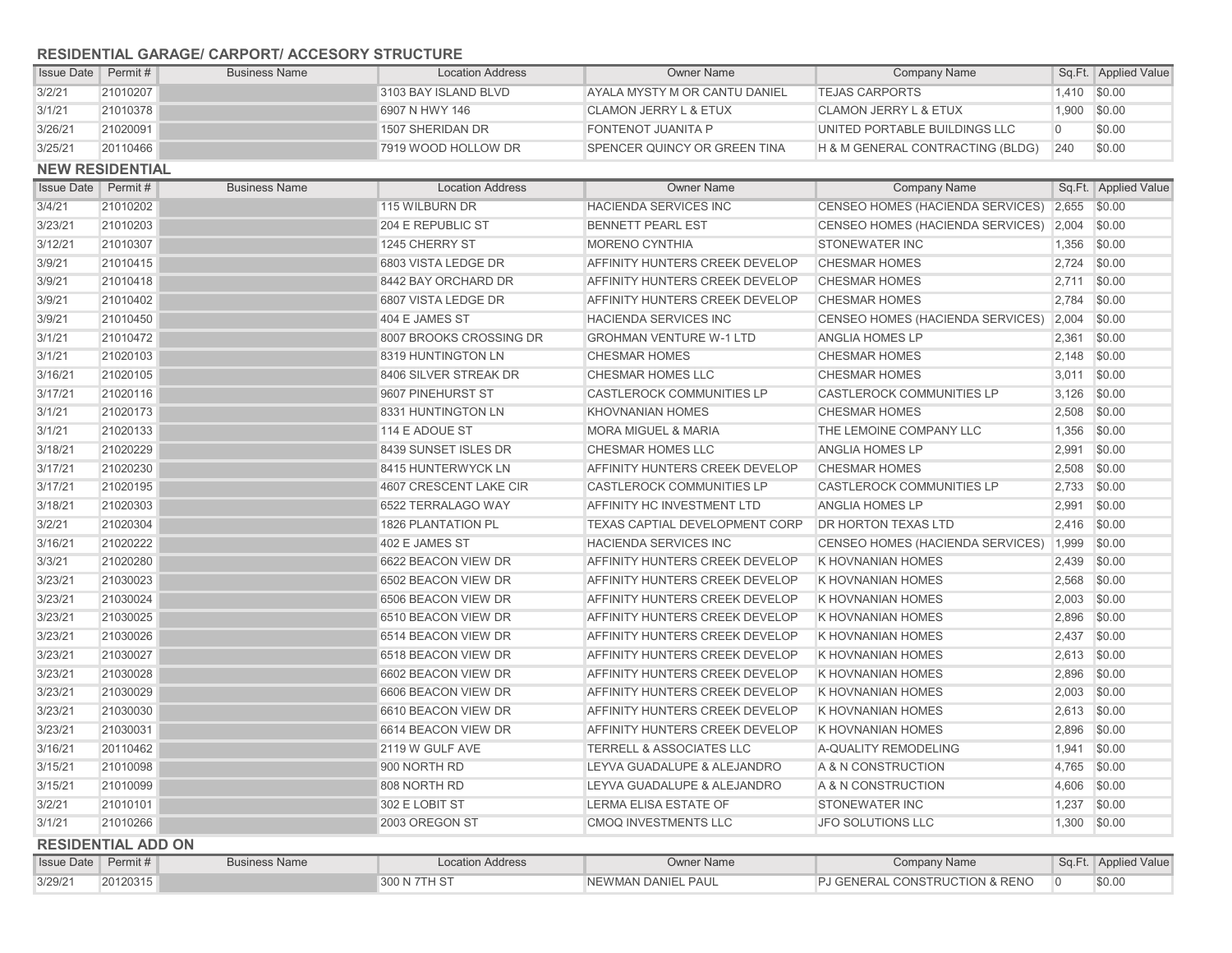## **RESIDENTIAL GARAGE/ CARPORT/ ACCESORY STRUCTURE**

| <b>Issue Date Permit #</b> |                        | <b>Business Name</b> | <b>Location Address</b> | <b>Owner Name</b>                     | <b>Company Name</b>                    |          | Sq.Ft. Applied Value |
|----------------------------|------------------------|----------------------|-------------------------|---------------------------------------|----------------------------------------|----------|----------------------|
| 3/2/21                     | 21010207               |                      | 3103 BAY ISLAND BLVD    | AYALA MYSTY M OR CANTU DANIEL         | <b>TEJAS CARPORTS</b>                  | 1.410    | \$0.00               |
| 3/1/21                     | 21010378               |                      | 6907 N HWY 146          | <b>CLAMON JERRY L &amp; ETUX</b>      | <b>CLAMON JERRY L &amp; ETUX</b>       | 1,900    | \$0.00               |
| 3/26/21                    | 21020091               |                      | 1507 SHERIDAN DR        | FONTENOT JUANITA P                    | UNITED PORTABLE BUILDINGS LLC          | $\Omega$ | \$0.00               |
| 3/25/21                    | 20110466               |                      | 7919 WOOD HOLLOW DR     | <b>SPENCER QUINCY OR GREEN TINA</b>   | H & M GENERAL CONTRACTING (BLDG)       | 240      | \$0.00               |
|                            | <b>NEW RESIDENTIAL</b> |                      |                         |                                       |                                        |          |                      |
| <b>Issue Date</b>          | Permit#                | <b>Business Name</b> | <b>Location Address</b> | <b>Owner Name</b>                     | <b>Company Name</b>                    |          | Sq.Ft. Applied Value |
| 3/4/21                     | 21010202               |                      | 115 WILBURN DR          | <b>HACIENDA SERVICES INC</b>          | CENSEO HOMES (HACIENDA SERVICES) 2,655 |          | \$0.00               |
| 3/23/21                    | 21010203               |                      | 204 E REPUBLIC ST       | <b>BENNETT PEARL EST</b>              | CENSEO HOMES (HACIENDA SERVICES)       | 2,004    | \$0.00               |
| 3/12/21                    | 21010307               |                      | 1245 CHERRY ST          | <b>MORENO CYNTHIA</b>                 | <b>STONEWATER INC</b>                  | 1.356    | \$0.00               |
| 3/9/21                     | 21010415               |                      | 6803 VISTA LEDGE DR     | AFFINITY HUNTERS CREEK DEVELOP        | <b>CHESMAR HOMES</b>                   | 2,724    | \$0.00               |
| 3/9/21                     | 21010418               |                      | 8442 BAY ORCHARD DR     | AFFINITY HUNTERS CREEK DEVELOP        | <b>CHESMAR HOMES</b>                   | 2,711    | \$0.00               |
| 3/9/21                     | 21010402               |                      | 6807 VISTA LEDGE DR     | AFFINITY HUNTERS CREEK DEVELOP        | <b>CHESMAR HOMES</b>                   | 2.784    | \$0.00               |
| 3/9/21                     | 21010450               |                      | 404 E JAMES ST          | <b>HACIENDA SERVICES INC</b>          | CENSEO HOMES (HACIENDA SERVICES)       | 2,004    | \$0.00               |
| 3/1/21                     | 21010472               |                      | 8007 BROOKS CROSSING DR | <b>GROHMAN VENTURE W-1 LTD</b>        | ANGLIA HOMES LP                        | 2,361    | \$0.00               |
| 3/1/21                     | 21020103               |                      | 8319 HUNTINGTON LN      | <b>CHESMAR HOMES</b>                  | <b>CHESMAR HOMES</b>                   | 2,148    | \$0.00               |
| 3/16/21                    | 21020105               |                      | 8406 SILVER STREAK DR   | <b>CHESMAR HOMES LLC</b>              | <b>CHESMAR HOMES</b>                   | 3,011    | \$0.00               |
| 3/17/21                    | 21020116               |                      | 9607 PINEHURST ST       | <b>CASTLEROCK COMMUNITIES LP</b>      | CASTLEROCK COMMUNITIES LP              | 3,126    | \$0.00               |
| 3/1/21                     | 21020173               |                      | 8331 HUNTINGTON LN      | <b>KHOVNANIAN HOMES</b>               | <b>CHESMAR HOMES</b>                   | 2,508    | \$0.00               |
| 3/1/21                     | 21020133               |                      | 114 E ADOUE ST          | <b>MORA MIGUEL &amp; MARIA</b>        | THE LEMOINE COMPANY LLC                | 1,356    | \$0.00               |
| 3/18/21                    | 21020229               |                      | 8439 SUNSET ISLES DR    | CHESMAR HOMES LLC                     | ANGLIA HOMES LP                        | 2,991    | \$0.00               |
| 3/17/21                    | 21020230               |                      | 8415 HUNTERWYCK LN      | AFFINITY HUNTERS CREEK DEVELOP        | <b>CHESMAR HOMES</b>                   | 2,508    | \$0.00               |
| 3/17/21                    | 21020195               |                      | 4607 CRESCENT LAKE CIR  | <b>CASTLEROCK COMMUNITIES LP</b>      | <b>CASTLEROCK COMMUNITIES LP</b>       | 2,733    | \$0.00               |
| 3/18/21                    | 21020303               |                      | 6522 TERRALAGO WAY      | AFFINITY HC INVESTMENT LTD            | <b>ANGLIA HOMES LP</b>                 | 2,991    | \$0.00               |
| 3/2/21                     | 21020304               |                      | 1826 PLANTATION PL      | TEXAS CAPTIAL DEVELOPMENT CORP        | <b>DR HORTON TEXAS LTD</b>             | 2,416    | \$0.00               |
| 3/16/21                    | 21020222               |                      | 402 E JAMES ST          | <b>HACIENDA SERVICES INC</b>          | CENSEO HOMES (HACIENDA SERVICES)       | 1,999    | \$0.00               |
| 3/3/21                     | 21020280               |                      | 6622 BEACON VIEW DR     | AFFINITY HUNTERS CREEK DEVELOP        | <b>K HOVNANIAN HOMES</b>               | 2.439    | \$0.00               |
| 3/23/21                    | 21030023               |                      | 6502 BEACON VIEW DR     | AFFINITY HUNTERS CREEK DEVELOP        | <b>K HOVNANIAN HOMES</b>               | 2,568    | \$0.00               |
| 3/23/21                    | 21030024               |                      | 6506 BEACON VIEW DR     | <b>AFFINITY HUNTERS CREEK DEVELOP</b> | <b>K HOVNANIAN HOMES</b>               | 2,003    | \$0.00               |
| 3/23/21                    | 21030025               |                      | 6510 BEACON VIEW DR     | AFFINITY HUNTERS CREEK DEVELOP        | <b>K HOVNANIAN HOMES</b>               | 2,896    | \$0.00               |
| 3/23/21                    | 21030026               |                      | 6514 BEACON VIEW DR     | <b>AFFINITY HUNTERS CREEK DEVELOP</b> | <b>K HOVNANIAN HOMES</b>               | 2,437    | \$0.00               |
| 3/23/21                    | 21030027               |                      | 6518 BEACON VIEW DR     | AFFINITY HUNTERS CREEK DEVELOP        | K HOVNANIAN HOMES                      | 2,613    | \$0.00               |
| 3/23/21                    | 21030028               |                      | 6602 BEACON VIEW DR     | AFFINITY HUNTERS CREEK DEVELOP        | K HOVNANIAN HOMES                      | 2,896    | \$0.00               |
| 3/23/21                    | 21030029               |                      | 6606 BEACON VIEW DR     | AFFINITY HUNTERS CREEK DEVELOP        | <b>K HOVNANIAN HOMES</b>               | 2,003    | \$0.00               |
| 3/23/21                    | 21030030               |                      | 6610 BEACON VIEW DR     | AFFINITY HUNTERS CREEK DEVELOP        | <b>K HOVNANIAN HOMES</b>               | 2,613    | \$0.00               |
| 3/23/21                    | 21030031               |                      | 6614 BEACON VIEW DR     | AFFINITY HUNTERS CREEK DEVELOP        | <b>K HOVNANIAN HOMES</b>               | 2,896    | \$0.00               |
| 3/16/21                    | 20110462               |                      | 2119 W GULF AVE         | <b>TERRELL &amp; ASSOCIATES LLC</b>   | A-QUALITY REMODELING                   | 1,941    | \$0.00               |
| 3/15/21                    | 21010098               |                      | 900 NORTH RD            | LEYVA GUADALUPE & ALEJANDRO           | A & N CONSTRUCTION                     | 4,765    | \$0.00               |
| 3/15/21                    | 21010099               |                      | 808 NORTH RD            | LEYVA GUADALUPE & ALEJANDRO           | A & N CONSTRUCTION                     | 4,606    | \$0.00               |
| 3/2/21                     | 21010101               |                      | 302 E LOBIT ST          | LERMA ELISA ESTATE OF                 | <b>STONEWATER INC</b>                  | 1,237    | \$0.00               |
| 3/1/21                     | 21010266               |                      | 2003 OREGON ST          | <b>CMOQ INVESTMENTS LLC</b>           | <b>JFO SOLUTIONS LLC</b>               | 1,300    | \$0.00               |

| <b>INCOIDENTIAL ADD UN</b> |          |                      |                         |                    |                                           |  |                      |  |  |
|----------------------------|----------|----------------------|-------------------------|--------------------|-------------------------------------------|--|----------------------|--|--|
| Issue Date   Permit#       |          | <b>Business Name</b> | <b>Location Address</b> | Owner Name         | Company Name                              |  | Sq.Ft. Applied Value |  |  |
| 3/29/21                    | 20120315 |                      | 300 N 7TH ST            | NEWMAN DANIEL PAUL | <b>PJ GENERAL CONSTRUCTION &amp; RENO</b> |  | \$0.00               |  |  |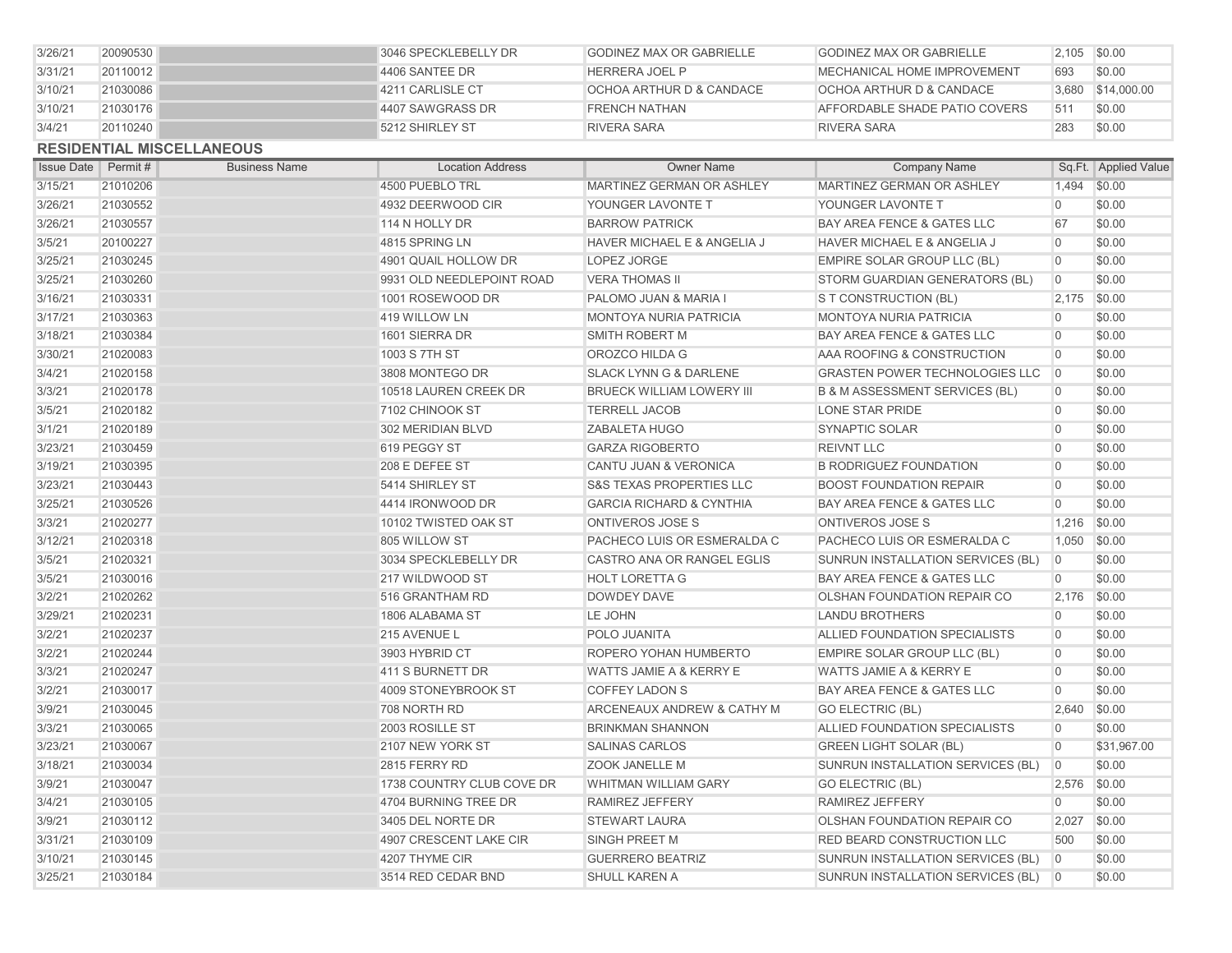| 3/26/21           | 20090530 |                                  | 3046 SPECKLEBELLY DR      | <b>GODINEZ MAX OR GABRIELLE</b>     | <b>GODINEZ MAX OR GABRIELLE</b>           | 2,105          | \$0.00               |
|-------------------|----------|----------------------------------|---------------------------|-------------------------------------|-------------------------------------------|----------------|----------------------|
| 3/31/21           | 20110012 |                                  | 4406 SANTEE DR            | <b>HERRERA JOEL P</b>               | MECHANICAL HOME IMPROVEMENT               | 693            | \$0.00               |
| 3/10/21           | 21030086 |                                  | 4211 CARLISLE CT          | OCHOA ARTHUR D & CANDACE            | OCHOA ARTHUR D & CANDACE                  | 3.680          | \$14,000.00          |
| 3/10/21           | 21030176 |                                  | 4407 SAWGRASS DR          | <b>FRENCH NATHAN</b>                | AFFORDABLE SHADE PATIO COVERS             | 511            | \$0.00               |
| 3/4/21            | 20110240 |                                  | 5212 SHIRLEY ST           | <b>RIVERA SARA</b>                  | <b>RIVERA SARA</b>                        | 283            | \$0.00               |
|                   |          | <b>RESIDENTIAL MISCELLANEOUS</b> |                           |                                     |                                           |                |                      |
| <b>Issue Date</b> | Permit # | <b>Business Name</b>             | <b>Location Address</b>   | <b>Owner Name</b>                   | <b>Company Name</b>                       |                | Sq.Ft. Applied Value |
| 3/15/21           | 21010206 |                                  | 4500 PUEBLO TRL           | MARTINEZ GERMAN OR ASHLEY           | MARTINEZ GERMAN OR ASHLEY                 | 1,494          | \$0.00               |
| 3/26/21           | 21030552 |                                  | 4932 DEERWOOD CIR         | YOUNGER LAVONTE T                   | YOUNGER LAVONTE T                         | $\overline{0}$ | \$0.00               |
| 3/26/21           | 21030557 |                                  | 114 N HOLLY DR            | <b>BARROW PATRICK</b>               | BAY AREA FENCE & GATES LLC                | 67             | \$0.00               |
| 3/5/21            | 20100227 |                                  | 4815 SPRING LN            | HAVER MICHAEL E & ANGELIA J         | HAVER MICHAEL E & ANGELIA J               | $\overline{0}$ | \$0.00               |
| 3/25/21           | 21030245 |                                  | 4901 QUAIL HOLLOW DR      | LOPEZ JORGE                         | EMPIRE SOLAR GROUP LLC (BL)               | $\overline{0}$ | \$0.00               |
| 3/25/21           | 21030260 |                                  | 9931 OLD NEEDLEPOINT ROAD | <b>VERA THOMAS II</b>               | STORM GUARDIAN GENERATORS (BL)            | $\Omega$       | \$0.00               |
| 3/16/21           | 21030331 |                                  | 1001 ROSEWOOD DR          | PALOMO JUAN & MARIA I               | S T CONSTRUCTION (BL)                     | 2,175          | \$0.00               |
| 3/17/21           | 21030363 |                                  | 419 WILLOW LN             | <b>MONTOYA NURIA PATRICIA</b>       | MONTOYA NURIA PATRICIA                    | $\Omega$       | \$0.00               |
| 3/18/21           | 21030384 |                                  | 1601 SIERRA DR            | <b>SMITH ROBERT M</b>               | BAY AREA FENCE & GATES LLC                | $\Omega$       | \$0.00               |
| 3/30/21           | 21020083 |                                  | 1003 S 7TH ST             | OROZCO HILDA G                      | AAA ROOFING & CONSTRUCTION                | $\Omega$       | \$0.00               |
| 3/4/21            | 21020158 |                                  | 3808 MONTEGO DR           | <b>SLACK LYNN G &amp; DARLENE</b>   | <b>GRASTEN POWER TECHNOLOGIES LLC</b>     | $\overline{0}$ | \$0.00               |
| 3/3/21            | 21020178 |                                  | 10518 LAUREN CREEK DR     | <b>BRUECK WILLIAM LOWERY III</b>    | <b>B &amp; M ASSESSMENT SERVICES (BL)</b> | $\Omega$       | \$0.00               |
| 3/5/21            | 21020182 |                                  | 7102 CHINOOK ST           | <b>TERRELL JACOB</b>                | <b>LONE STAR PRIDE</b>                    | $\overline{0}$ | \$0.00               |
| 3/1/21            | 21020189 |                                  | 302 MERIDIAN BLVD         | <b>ZABALETA HUGO</b>                | SYNAPTIC SOLAR                            | $\Omega$       | \$0.00               |
| 3/23/21           | 21030459 |                                  | 619 PEGGY ST              | <b>GARZA RIGOBERTO</b>              | <b>REIVNT LLC</b>                         | $\Omega$       | \$0.00               |
| 3/19/21           | 21030395 |                                  | 208 E DEFEE ST            | CANTU JUAN & VERONICA               | <b>B RODRIGUEZ FOUNDATION</b>             | $\Omega$       | \$0.00               |
| 3/23/21           | 21030443 |                                  | 5414 SHIRLEY ST           | <b>S&amp;S TEXAS PROPERTIES LLC</b> | <b>BOOST FOUNDATION REPAIR</b>            | $\Omega$       | \$0.00               |
| 3/25/21           | 21030526 |                                  | 4414 IRONWOOD DR          | <b>GARCIA RICHARD &amp; CYNTHIA</b> | <b>BAY AREA FENCE &amp; GATES LLC</b>     | $\Omega$       | \$0.00               |
| 3/3/21            | 21020277 |                                  | 10102 TWISTED OAK ST      | ONTIVEROS JOSE S                    | ONTIVEROS JOSE S                          | 1,216          | \$0.00               |
| 3/12/21           | 21020318 |                                  | 805 WILLOW ST             | PACHECO LUIS OR ESMERALDA C         | PACHECO LUIS OR ESMERALDA C               | 1,050          | \$0.00               |
| 3/5/21            | 21020321 |                                  | 3034 SPECKLEBELLY DR      | CASTRO ANA OR RANGEL EGLIS          | SUNRUN INSTALLATION SERVICES (BL)         | $\overline{0}$ | \$0.00               |
| 3/5/21            | 21030016 |                                  | 217 WILDWOOD ST           | <b>HOLT LORETTA G</b>               | <b>BAY AREA FENCE &amp; GATES LLC</b>     | $\overline{0}$ | \$0.00               |
| 3/2/21            | 21020262 |                                  | 516 GRANTHAM RD           | <b>DOWDEY DAVE</b>                  | OLSHAN FOUNDATION REPAIR CO               | 2,176          | \$0.00               |
| 3/29/21           | 21020231 |                                  | 1806 ALABAMA ST           | LE JOHN                             | <b>LANDU BROTHERS</b>                     | $\overline{0}$ | \$0.00               |
| 3/2/21            | 21020237 |                                  | 215 AVENUE L              | POLO JUANITA                        | ALLIED FOUNDATION SPECIALISTS             | $\Omega$       | \$0.00               |
| 3/2/21            | 21020244 |                                  | 3903 HYBRID CT            | ROPERO YOHAN HUMBERTO               | EMPIRE SOLAR GROUP LLC (BL)               | $\overline{0}$ | \$0.00               |
| 3/3/21            | 21020247 |                                  | 411 S BURNETT DR          | <b>WATTS JAMIE A &amp; KERRY E</b>  | WATTS JAMIE A & KERRY E                   | $\overline{0}$ | \$0.00               |
| 3/2/21            | 21030017 |                                  | 4009 STONEYBROOK ST       | <b>COFFEY LADON S</b>               | BAY AREA FENCE & GATES LLC                | $\Omega$       | \$0.00               |
| 3/9/21            | 21030045 |                                  | 708 NORTH RD              | ARCENEAUX ANDREW & CATHY M          | <b>GO ELECTRIC (BL)</b>                   | 2,640          | \$0.00               |
| 3/3/21            | 21030065 |                                  | 2003 ROSILLE ST           | <b>BRINKMAN SHANNON</b>             | ALLIED FOUNDATION SPECIALISTS             | $\Omega$       | \$0.00               |
| 3/23/21           | 21030067 |                                  | 2107 NEW YORK ST          | <b>SALINAS CARLOS</b>               | <b>GREEN LIGHT SOLAR (BL)</b>             | $\overline{0}$ | \$31,967.00          |
| 3/18/21           | 21030034 |                                  | 2815 FERRY RD             | ZOOK JANELLE M                      | SUNRUN INSTALLATION SERVICES (BL)         | $\overline{0}$ | \$0.00               |
| 3/9/21            | 21030047 |                                  | 1738 COUNTRY CLUB COVE DR | <b>WHITMAN WILLIAM GARY</b>         | <b>GO ELECTRIC (BL)</b>                   |                | 2,576 \$0.00         |
| 3/4/21            | 21030105 |                                  | 4704 BURNING TREE DR      | RAMIREZ JEFFERY                     | RAMIREZ JEFFERY                           | $\overline{0}$ | \$0.00               |
| 3/9/21            | 21030112 |                                  | 3405 DEL NORTE DR         | <b>STEWART LAURA</b>                | OLSHAN FOUNDATION REPAIR CO               | 2,027          | \$0.00               |
| 3/31/21           | 21030109 |                                  | 4907 CRESCENT LAKE CIR    | SINGH PREET M                       | RED BEARD CONSTRUCTION LLC                | 500            | \$0.00               |
| 3/10/21           | 21030145 |                                  | 4207 THYME CIR            | <b>GUERRERO BEATRIZ</b>             | SUNRUN INSTALLATION SERVICES (BL)         | $\overline{0}$ | \$0.00               |
| 3/25/21           | 21030184 |                                  | 3514 RED CEDAR BND        | <b>SHULL KAREN A</b>                | SUNRUN INSTALLATION SERVICES (BL) 0       |                | \$0.00               |